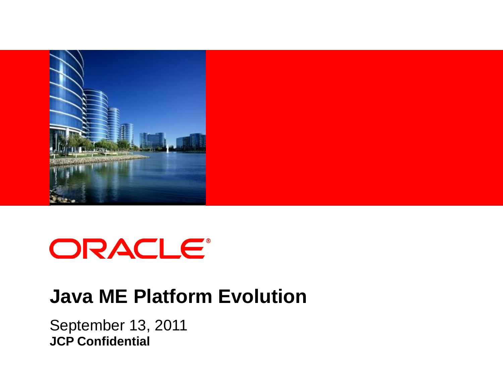

# ORACLE®

#### **Java ME Platform Evolution**

September 13, 2011 **JCP Confidential**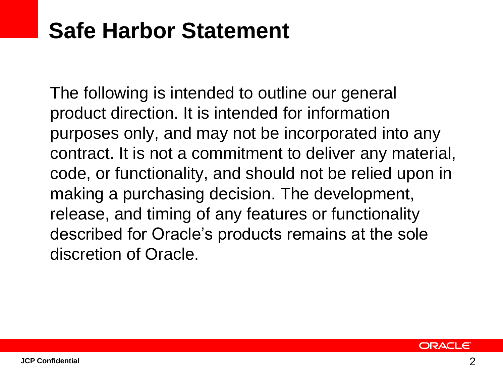## **Safe Harbor Statement**

The following is intended to outline our general product direction. It is intended for information purposes only, and may not be incorporated into any contract. It is not a commitment to deliver any material, code, or functionality, and should not be relied upon in making a purchasing decision. The development, release, and timing of any features or functionality described for Oracle's products remains at the sole discretion of Oracle.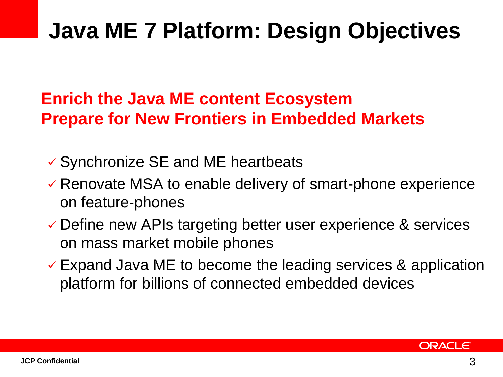## **Java ME 7 Platform: Design Objectives**

#### **Enrich the Java ME content Ecosystem Prepare for New Frontiers in Embedded Markets**

- Synchronize SE and ME heartbeats
- $\checkmark$  Renovate MSA to enable delivery of smart-phone experience on feature-phones
- Define new APIs targeting better user experience & services on mass market mobile phones
- $\checkmark$  Expand Java ME to become the leading services & application platform for billions of connected embedded devices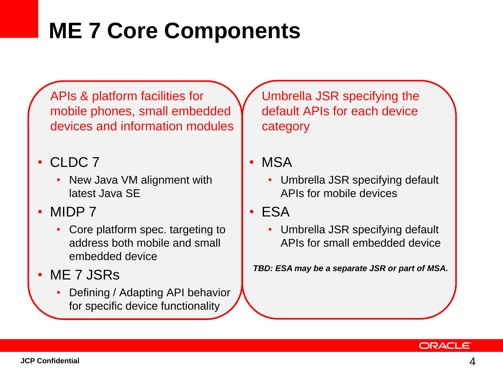## **ME 7 Core Components**

APIs & platform facilities for mobile phones, small embedded devices and information modules

• CLDC 7

- New Java VM alignment with latest Java SE
- MIDP 7
	- Core platform spec. targeting to address both mobile and small embedded device
- ME 7 JSRs
	- Defining / Adapting API behavior for specific device functionality

Umbrella JSR specifying the default APIs for each device category

- MSA
	- Umbrella JSR specifying default APIs for mobile devices
- ESA
	- Umbrella JSR specifying default APIs for small embedded device

*TBD: ESA may be a separate JSR or part of MSA.*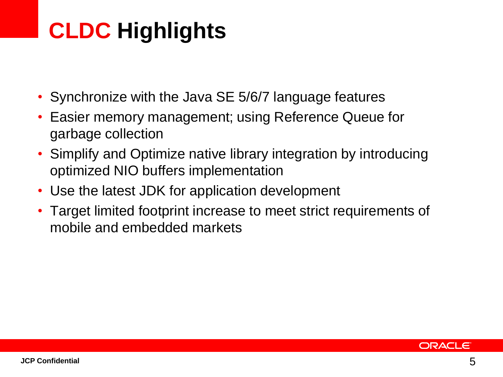## **CLDC Highlights**

- Synchronize with the Java SE 5/6/7 language features
- Easier memory management; using Reference Queue for garbage collection
- Simplify and Optimize native library integration by introducing optimized NIO buffers implementation
- Use the latest JDK for application development
- Target limited footprint increase to meet strict requirements of mobile and embedded markets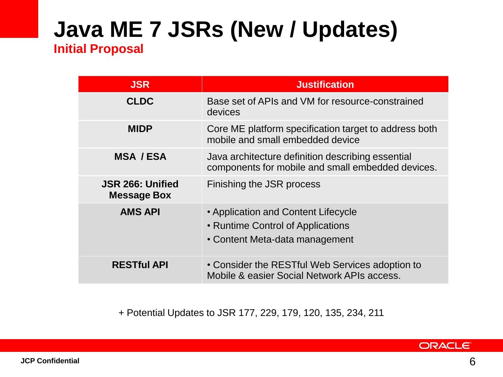## **Java ME 7 JSRs (New / Updates)**

#### **Initial Proposal**

| <b>JSR</b>                                    | <b>Justification</b>                                                                                       |
|-----------------------------------------------|------------------------------------------------------------------------------------------------------------|
| <b>CLDC</b>                                   | Base set of APIs and VM for resource-constrained<br>devices                                                |
| <b>MIDP</b>                                   | Core ME platform specification target to address both<br>mobile and small embedded device                  |
| <b>MSA / ESA</b>                              | Java architecture definition describing essential<br>components for mobile and small embedded devices.     |
| <b>JSR 266: Unified</b><br><b>Message Box</b> | Finishing the JSR process                                                                                  |
| <b>AMS API</b>                                | • Application and Content Lifecycle<br>• Runtime Control of Applications<br>• Content Meta-data management |
| <b>RESTful API</b>                            | • Consider the RESTful Web Services adoption to<br>Mobile & easier Social Network APIs access.             |

+ Potential Updates to JSR 177, 229, 179, 120, 135, 234, 211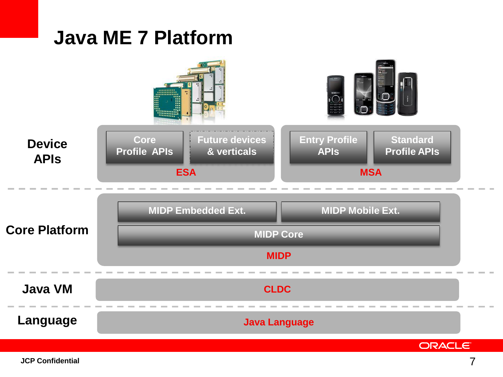#### **Java ME 7 Platform**

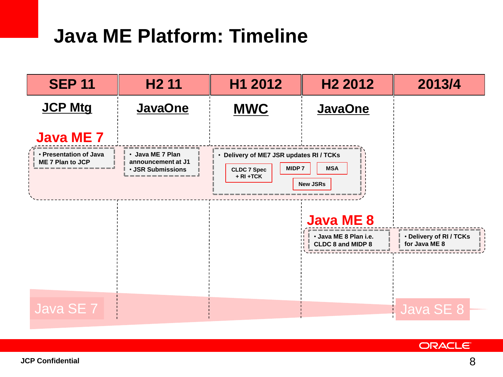### **Java ME Platform: Timeline**



**ORACLE**